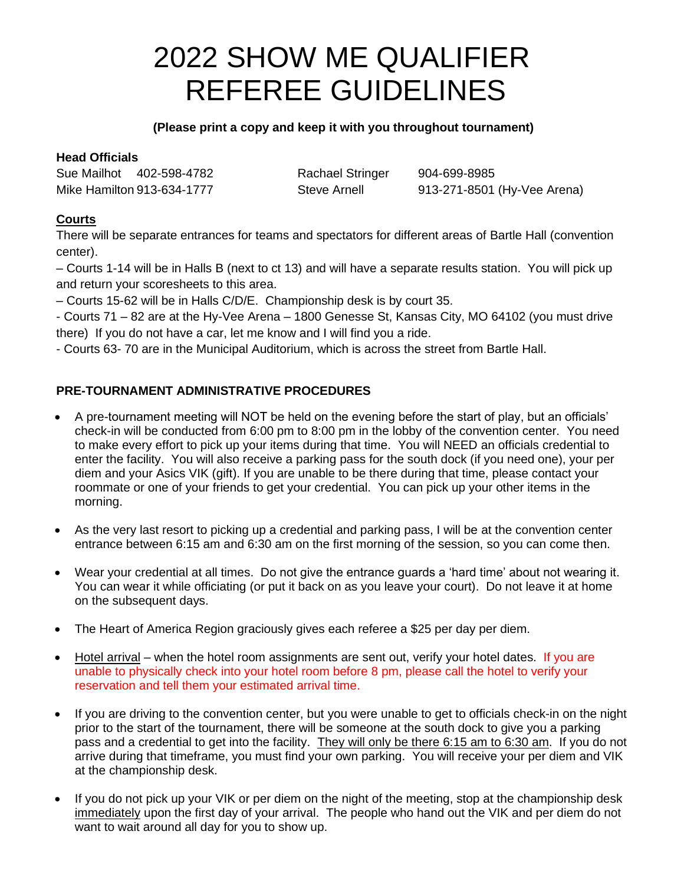# 2022 SHOW ME QUALIFIER REFEREE GUIDELINES

## **(Please print a copy and keep it with you throughout tournament)**

# **Head Officials**

Sue Mailhot 402-598-4782 Rachael Stringer 904-699-8985

Mike Hamilton 913-634-1777 Steve Arnell 913-271-8501 (Hy-Vee Arena)

# **Courts**

There will be separate entrances for teams and spectators for different areas of Bartle Hall (convention center).

– Courts 1-14 will be in Halls B (next to ct 13) and will have a separate results station. You will pick up and return your scoresheets to this area.

– Courts 15-62 will be in Halls C/D/E. Championship desk is by court 35.

- Courts 71 – 82 are at the Hy-Vee Arena – 1800 Genesse St, Kansas City, MO 64102 (you must drive there) If you do not have a car, let me know and I will find you a ride.

- Courts 63- 70 are in the Municipal Auditorium, which is across the street from Bartle Hall.

# **PRE-TOURNAMENT ADMINISTRATIVE PROCEDURES**

- A pre-tournament meeting will NOT be held on the evening before the start of play, but an officials' check-in will be conducted from 6:00 pm to 8:00 pm in the lobby of the convention center. You need to make every effort to pick up your items during that time. You will NEED an officials credential to enter the facility. You will also receive a parking pass for the south dock (if you need one), your per diem and your Asics VIK (gift). If you are unable to be there during that time, please contact your roommate or one of your friends to get your credential. You can pick up your other items in the morning.
- As the very last resort to picking up a credential and parking pass, I will be at the convention center entrance between 6:15 am and 6:30 am on the first morning of the session, so you can come then.
- Wear your credential at all times. Do not give the entrance guards a 'hard time' about not wearing it. You can wear it while officiating (or put it back on as you leave your court). Do not leave it at home on the subsequent days.
- The Heart of America Region graciously gives each referee a \$25 per day per diem.
- $\bullet$  Hotel arrival when the hotel room assignments are sent out, verify your hotel dates. If you are unable to physically check into your hotel room before 8 pm, please call the hotel to verify your reservation and tell them your estimated arrival time.
- If you are driving to the convention center, but you were unable to get to officials check-in on the night prior to the start of the tournament, there will be someone at the south dock to give you a parking pass and a credential to get into the facility. They will only be there 6:15 am to 6:30 am. If you do not arrive during that timeframe, you must find your own parking. You will receive your per diem and VIK at the championship desk.
- If you do not pick up your VIK or per diem on the night of the meeting, stop at the championship desk immediately upon the first day of your arrival. The people who hand out the VIK and per diem do not want to wait around all day for you to show up.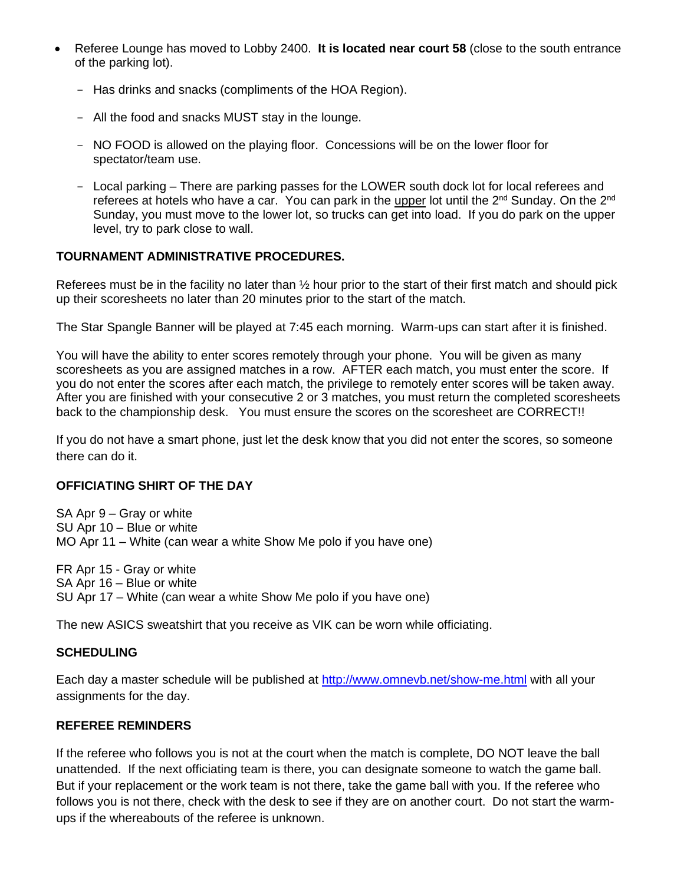- Referee Lounge has moved to Lobby 2400. **It is located near court 58** (close to the south entrance of the parking lot).
	- Has drinks and snacks (compliments of the HOA Region).
	- All the food and snacks MUST stay in the lounge.
	- NO FOOD is allowed on the playing floor. Concessions will be on the lower floor for spectator/team use.
	- Local parking There are parking passes for the LOWER south dock lot for local referees and referees at hotels who have a car. You can park in the upper lot until the  $2^{nd}$  Sunday. On the  $2^{nd}$ Sunday, you must move to the lower lot, so trucks can get into load. If you do park on the upper level, try to park close to wall.

#### **TOURNAMENT ADMINISTRATIVE PROCEDURES.**

Referees must be in the facility no later than ½ hour prior to the start of their first match and should pick up their scoresheets no later than 20 minutes prior to the start of the match.

The Star Spangle Banner will be played at 7:45 each morning. Warm-ups can start after it is finished.

You will have the ability to enter scores remotely through your phone. You will be given as many scoresheets as you are assigned matches in a row. AFTER each match, you must enter the score. If you do not enter the scores after each match, the privilege to remotely enter scores will be taken away. After you are finished with your consecutive 2 or 3 matches, you must return the completed scoresheets back to the championship desk. You must ensure the scores on the scoresheet are CORRECT!!

If you do not have a smart phone, just let the desk know that you did not enter the scores, so someone there can do it.

## **OFFICIATING SHIRT OF THE DAY**

SA Apr 9 – Gray or white SU Apr 10 – Blue or white MO Apr 11 – White (can wear a white Show Me polo if you have one)

FR Apr 15 - Gray or white SA Apr 16 – Blue or white SU Apr 17 – White (can wear a white Show Me polo if you have one)

The new ASICS sweatshirt that you receive as VIK can be worn while officiating.

#### **SCHEDULING**

Each day a master schedule will be published at<http://www.omnevb.net/show-me.html> with all your assignments for the day.

#### **REFEREE REMINDERS**

If the referee who follows you is not at the court when the match is complete, DO NOT leave the ball unattended. If the next officiating team is there, you can designate someone to watch the game ball. But if your replacement or the work team is not there, take the game ball with you. If the referee who follows you is not there, check with the desk to see if they are on another court. Do not start the warmups if the whereabouts of the referee is unknown.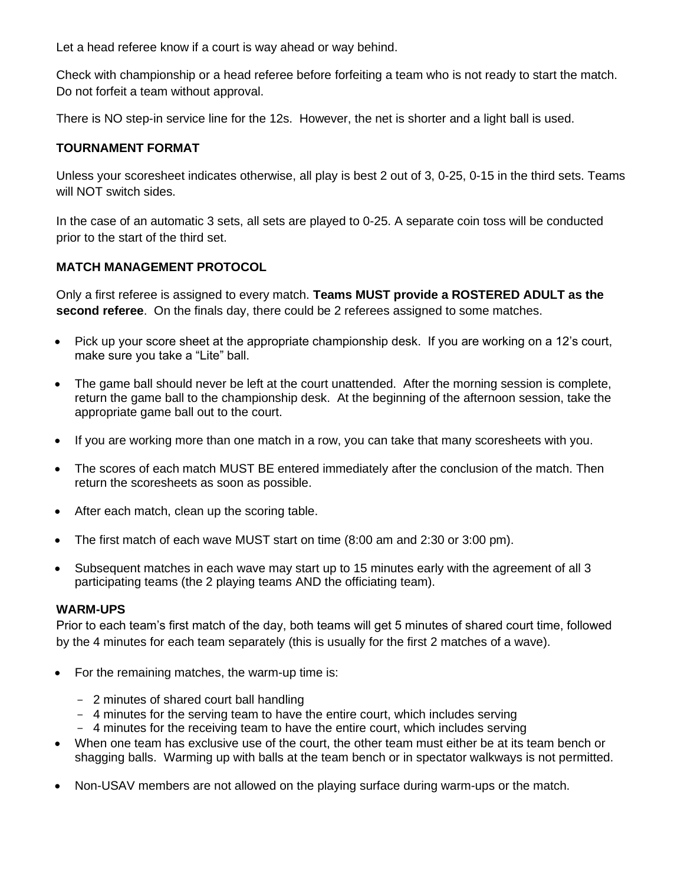Let a head referee know if a court is way ahead or way behind.

Check with championship or a head referee before forfeiting a team who is not ready to start the match. Do not forfeit a team without approval.

There is NO step-in service line for the 12s. However, the net is shorter and a light ball is used.

## **TOURNAMENT FORMAT**

Unless your scoresheet indicates otherwise, all play is best 2 out of 3, 0-25, 0-15 in the third sets. Teams will NOT switch sides.

In the case of an automatic 3 sets, all sets are played to 0-25. A separate coin toss will be conducted prior to the start of the third set.

#### **MATCH MANAGEMENT PROTOCOL**

Only a first referee is assigned to every match. **Teams MUST provide a ROSTERED ADULT as the second referee**. On the finals day, there could be 2 referees assigned to some matches.

- Pick up your score sheet at the appropriate championship desk. If you are working on a 12's court, make sure you take a "Lite" ball.
- The game ball should never be left at the court unattended. After the morning session is complete, return the game ball to the championship desk. At the beginning of the afternoon session, take the appropriate game ball out to the court.
- If you are working more than one match in a row, you can take that many scoresheets with you.
- The scores of each match MUST BE entered immediately after the conclusion of the match. Then return the scoresheets as soon as possible.
- After each match, clean up the scoring table.
- The first match of each wave MUST start on time (8:00 am and 2:30 or 3:00 pm).
- Subsequent matches in each wave may start up to 15 minutes early with the agreement of all 3 participating teams (the 2 playing teams AND the officiating team).

#### **WARM-UPS**

Prior to each team's first match of the day, both teams will get 5 minutes of shared court time, followed by the 4 minutes for each team separately (this is usually for the first 2 matches of a wave).

- For the remaining matches, the warm-up time is:
	- 2 minutes of shared court ball handling
	- 4 minutes for the serving team to have the entire court, which includes serving
	- 4 minutes for the receiving team to have the entire court, which includes serving
- When one team has exclusive use of the court, the other team must either be at its team bench or shagging balls. Warming up with balls at the team bench or in spectator walkways is not permitted.
- Non-USAV members are not allowed on the playing surface during warm-ups or the match.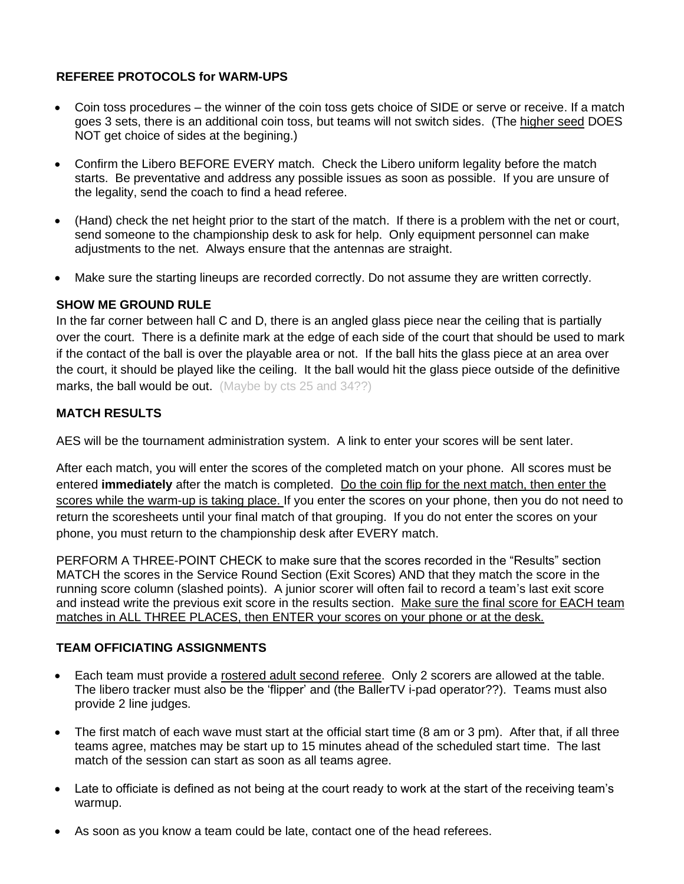# **REFEREE PROTOCOLS for WARM-UPS**

- Coin toss procedures the winner of the coin toss gets choice of SIDE or serve or receive. If a match goes 3 sets, there is an additional coin toss, but teams will not switch sides. (The higher seed DOES NOT get choice of sides at the begining.)
- Confirm the Libero BEFORE EVERY match. Check the Libero uniform legality before the match starts. Be preventative and address any possible issues as soon as possible. If you are unsure of the legality, send the coach to find a head referee.
- (Hand) check the net height prior to the start of the match. If there is a problem with the net or court, send someone to the championship desk to ask for help. Only equipment personnel can make adjustments to the net. Always ensure that the antennas are straight.
- Make sure the starting lineups are recorded correctly. Do not assume they are written correctly.

# **SHOW ME GROUND RULE**

In the far corner between hall C and D, there is an angled glass piece near the ceiling that is partially over the court. There is a definite mark at the edge of each side of the court that should be used to mark if the contact of the ball is over the playable area or not. If the ball hits the glass piece at an area over the court, it should be played like the ceiling. It the ball would hit the glass piece outside of the definitive marks, the ball would be out. (Maybe by cts 25 and 34??)

# **MATCH RESULTS**

AES will be the tournament administration system. A link to enter your scores will be sent later.

After each match, you will enter the scores of the completed match on your phone. All scores must be entered **immediately** after the match is completed. Do the coin flip for the next match, then enter the scores while the warm-up is taking place. If you enter the scores on your phone, then you do not need to return the scoresheets until your final match of that grouping. If you do not enter the scores on your phone, you must return to the championship desk after EVERY match.

PERFORM A THREE-POINT CHECK to make sure that the scores recorded in the "Results" section MATCH the scores in the Service Round Section (Exit Scores) AND that they match the score in the running score column (slashed points). A junior scorer will often fail to record a team's last exit score and instead write the previous exit score in the results section. Make sure the final score for EACH team matches in ALL THREE PLACES, then ENTER your scores on your phone or at the desk.

# **TEAM OFFICIATING ASSIGNMENTS**

- Each team must provide a rostered adult second referee. Only 2 scorers are allowed at the table. The libero tracker must also be the 'flipper' and (the BallerTV i-pad operator??). Teams must also provide 2 line judges.
- The first match of each wave must start at the official start time (8 am or 3 pm). After that, if all three teams agree, matches may be start up to 15 minutes ahead of the scheduled start time. The last match of the session can start as soon as all teams agree.
- Late to officiate is defined as not being at the court ready to work at the start of the receiving team's warmup.
- As soon as you know a team could be late, contact one of the head referees.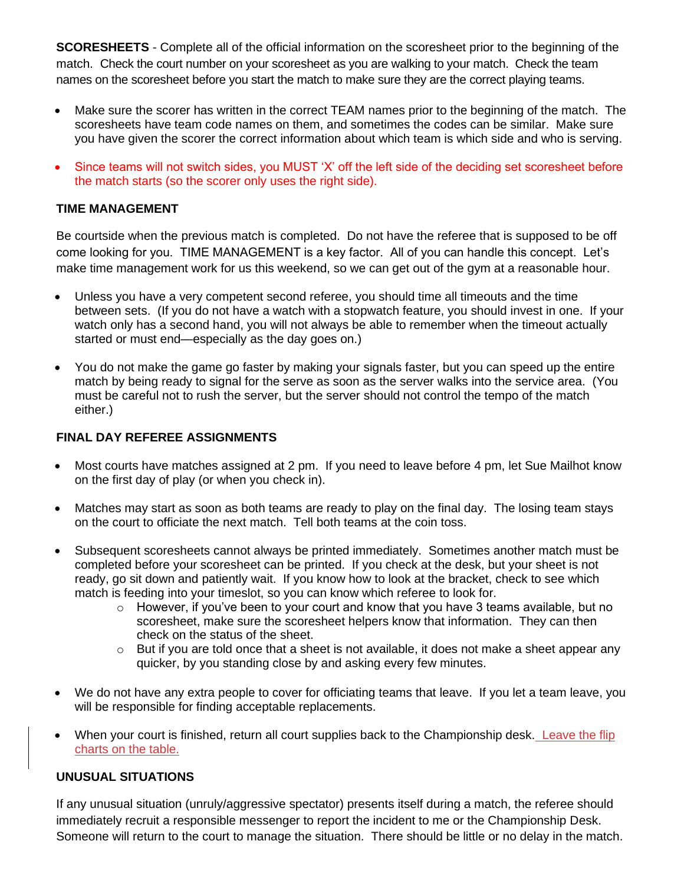**SCORESHEETS** - Complete all of the official information on the scoresheet prior to the beginning of the match. Check the court number on your scoresheet as you are walking to your match. Check the team names on the scoresheet before you start the match to make sure they are the correct playing teams.

- Make sure the scorer has written in the correct TEAM names prior to the beginning of the match. The scoresheets have team code names on them, and sometimes the codes can be similar. Make sure you have given the scorer the correct information about which team is which side and who is serving.
- Since teams will not switch sides, you MUST 'X' off the left side of the deciding set scoresheet before the match starts (so the scorer only uses the right side).

## **TIME MANAGEMENT**

Be courtside when the previous match is completed. Do not have the referee that is supposed to be off come looking for you. TIME MANAGEMENT is a key factor. All of you can handle this concept. Let's make time management work for us this weekend, so we can get out of the gym at a reasonable hour.

- Unless you have a very competent second referee, you should time all timeouts and the time between sets. (If you do not have a watch with a stopwatch feature, you should invest in one. If your watch only has a second hand, you will not always be able to remember when the timeout actually started or must end—especially as the day goes on.)
- You do not make the game go faster by making your signals faster, but you can speed up the entire match by being ready to signal for the serve as soon as the server walks into the service area. (You must be careful not to rush the server, but the server should not control the tempo of the match either.)

# **FINAL DAY REFEREE ASSIGNMENTS**

- Most courts have matches assigned at 2 pm. If you need to leave before 4 pm, let Sue Mailhot know on the first day of play (or when you check in).
- Matches may start as soon as both teams are ready to play on the final day. The losing team stays on the court to officiate the next match. Tell both teams at the coin toss.
- Subsequent scoresheets cannot always be printed immediately. Sometimes another match must be completed before your scoresheet can be printed. If you check at the desk, but your sheet is not ready, go sit down and patiently wait. If you know how to look at the bracket, check to see which match is feeding into your timeslot, so you can know which referee to look for.
	- $\circ$  However, if you've been to your court and know that you have 3 teams available, but no scoresheet, make sure the scoresheet helpers know that information. They can then check on the status of the sheet.
	- $\circ$  But if you are told once that a sheet is not available, it does not make a sheet appear any quicker, by you standing close by and asking every few minutes.
- We do not have any extra people to cover for officiating teams that leave. If you let a team leave, you will be responsible for finding acceptable replacements.
- When your court is finished, return all court supplies back to the Championship desk. Leave the flip charts on the table.

## **UNUSUAL SITUATIONS**

If any unusual situation (unruly/aggressive spectator) presents itself during a match, the referee should immediately recruit a responsible messenger to report the incident to me or the Championship Desk. Someone will return to the court to manage the situation. There should be little or no delay in the match.